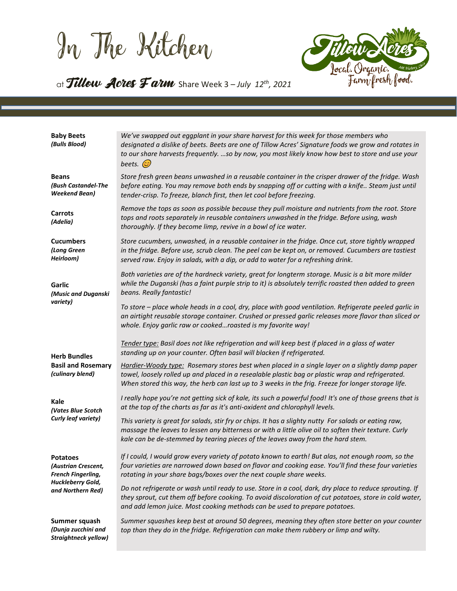In The Kitchen



## at Tillow Acres Farm Share Week <sup>3</sup> – *July 12th , 2021*

| <b>Baby Beets</b><br>(Bulls Blood)                                                                                                                          | We've swapped out eggplant in your share harvest for this week for those members who<br>designated a dislike of beets. Beets are one of Tillow Acres' Signature foods we grow and rotates in<br>to our share harvests frequently. so by now, you most likely know how best to store and use your<br>beets. $\circled{c}$ |
|-------------------------------------------------------------------------------------------------------------------------------------------------------------|--------------------------------------------------------------------------------------------------------------------------------------------------------------------------------------------------------------------------------------------------------------------------------------------------------------------------|
| <b>Beans</b><br>(Bush Castandel-The<br><b>Weekend Bean)</b>                                                                                                 | Store fresh green beans unwashed in a reusable container in the crisper drawer of the fridge. Wash<br>before eating. You may remove both ends by snapping off or cutting with a knife Steam just until<br>tender-crisp. To freeze, blanch first, then let cool before freezing.                                          |
| <b>Carrots</b><br>(Adelia)                                                                                                                                  | Remove the tops as soon as possible because they pull moisture and nutrients from the root. Store<br>tops and roots separately in reusable containers unwashed in the fridge. Before using, wash<br>thoroughly. If they become limp, revive in a bowl of ice water.                                                      |
| <b>Cucumbers</b><br>(Long Green<br>Heirloom)                                                                                                                | Store cucumbers, unwashed, in a reusable container in the fridge. Once cut, store tightly wrapped<br>in the fridge. Before use, scrub clean. The peel can be kept on, or removed. Cucumbers are tastiest<br>served raw. Enjoy in salads, with a dip, or add to water for a refreshing drink.                             |
| Garlic<br>(Music and Duganski<br>variety)                                                                                                                   | Both varieties are of the hardneck variety, great for longterm storage. Music is a bit more milder<br>while the Duganski (has a faint purple strip to it) is absolutely terrific roasted then added to green<br>beans. Really fantastic!                                                                                 |
|                                                                                                                                                             | To store - place whole heads in a cool, dry, place with good ventilation. Refrigerate peeled garlic in<br>an airtight reusable storage container. Crushed or pressed garlic releases more flavor than sliced or<br>whole. Enjoy garlic raw or cookedroasted is my favorite way!                                          |
| <b>Herb Bundles</b><br><b>Basil and Rosemary</b><br>(culinary blend)                                                                                        | Tender type: Basil does not like refrigeration and will keep best if placed in a glass of water<br>standing up on your counter. Often basil will blacken if refrigerated.                                                                                                                                                |
|                                                                                                                                                             | Hardier-Woody type: Rosemary stores best when placed in a single layer on a slightly damp paper<br>towel, loosely rolled up and placed in a resealable plastic bag or plastic wrap and refrigerated.<br>When stored this way, the herb can last up to 3 weeks in the frig. Freeze for longer storage life.               |
| Kale<br>(Vates Blue Scotch<br>Curly leaf variety)<br>Potatoes<br>(Austrian Crescent,<br><b>French Fingerling,</b><br>Huckleberry Gold,<br>and Northern Red) | I really hope you're not getting sick of kale, its such a powerful food! It's one of those greens that is<br>at the top of the charts as far as it's anti-oxident and chlorophyll levels.                                                                                                                                |
|                                                                                                                                                             | This variety is great for salads, stir fry or chips. It has a slighty nutty For salads or eating raw,<br>massage the leaves to lessen any bitterness or with a little olive oil to soften their texture. Curly<br>kale can be de-stemmed by tearing pieces of the leaves away from the hard stem.                        |
|                                                                                                                                                             | If I could, I would grow every variety of potato known to earth! But alas, not enough room, so the<br>four varieties are narrowed down based on flavor and cooking ease. You'll find these four varieties<br>rotating in your share bags/boxes over the next couple share weeks.                                         |
|                                                                                                                                                             | Do not refrigerate or wash until ready to use. Store in a cool, dark, dry place to reduce sprouting. If<br>they sprout, cut them off before cooking. To avoid discoloration of cut potatoes, store in cold water,<br>and add lemon juice. Most cooking methods can be used to prepare potatoes.                          |
| Summer squash<br>(Dunja zucchini and<br><b>Straightneck yellow)</b>                                                                                         | Summer squashes keep best at around 50 degrees, meaning they often store better on your counter<br>top than they do in the fridge. Refrigeration can make them rubbery or limp and wilty.                                                                                                                                |